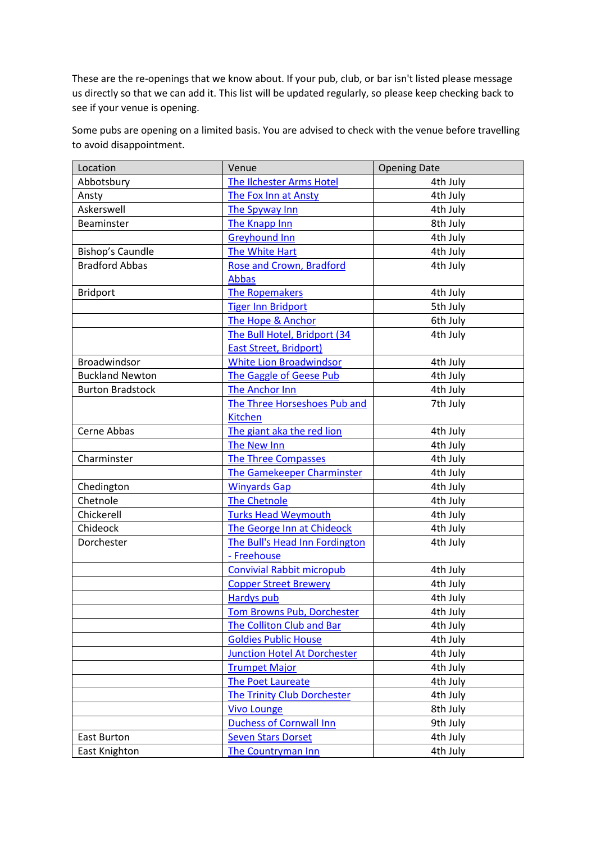These are the re-openings that we know about. If your pub, club, or bar isn't listed please message us directly so that we can add it. This list will be updated regularly, so please keep checking back to see if your venue is opening.

Some pubs are opening on a limited basis. You are advised to check with the venue before travelling to avoid disappointment.

| Location                | Venue                                    | <b>Opening Date</b> |
|-------------------------|------------------------------------------|---------------------|
| Abbotsbury              | The Ilchester Arms Hotel                 | 4th July            |
| Ansty                   | The Fox Inn at Ansty                     | 4th July            |
| Askerswell              | The Spyway Inn                           | 4th July            |
| Beaminster              | The Knapp Inn                            | 8th July            |
|                         | <b>Greyhound Inn</b>                     | 4th July            |
| Bishop's Caundle        | The White Hart                           | 4th July            |
| <b>Bradford Abbas</b>   | Rose and Crown, Bradford                 | 4th July            |
|                         | <b>Abbas</b>                             |                     |
| <b>Bridport</b>         | <b>The Ropemakers</b>                    | 4th July            |
|                         | <b>Tiger Inn Bridport</b>                | 5th July            |
|                         | The Hope & Anchor                        | 6th July            |
|                         | The Bull Hotel, Bridport (34             | 4th July            |
|                         | <b>East Street, Bridport)</b>            |                     |
| <b>Broadwindsor</b>     | <b>White Lion Broadwindsor</b>           | 4th July            |
| <b>Buckland Newton</b>  | The Gaggle of Geese Pub                  | 4th July            |
| <b>Burton Bradstock</b> | <b>The Anchor Inn</b>                    | 4th July            |
|                         | The Three Horseshoes Pub and             | 7th July            |
|                         | <b>Kitchen</b>                           |                     |
| Cerne Abbas             | The giant aka the red lion               | 4th July            |
|                         | The New Inn                              | 4th July            |
| Charminster             | <b>The Three Compasses</b>               | 4th July            |
|                         | <b>The Gamekeeper Charminster</b>        | 4th July            |
| Chedington              | <b>Winyards Gap</b>                      | 4th July            |
| Chetnole                | <b>The Chetnole</b>                      | 4th July            |
| Chickerell              | <b>Turks Head Weymouth</b>               | 4th July            |
| Chideock                | The George Inn at Chideock               | 4th July            |
| Dorchester              | The Bull's Head Inn Fordington           | 4th July            |
|                         | - Freehouse                              |                     |
|                         | <b>Convivial Rabbit micropub</b>         | 4th July            |
|                         | <b>Copper Street Brewery</b>             | 4th July            |
|                         | <b>Hardys pub</b>                        | 4th July            |
|                         | <u><b>Tom Browns Pub, Dorchester</b></u> | 4th July            |
|                         | <b>The Colliton Club and Bar</b>         | 4th July            |
|                         | <b>Goldies Public House</b>              | 4th July            |
|                         | <b>Junction Hotel At Dorchester</b>      | 4th July            |
|                         | <b>Trumpet Major</b>                     | 4th July            |
|                         | The Poet Laureate                        | 4th July            |
|                         | The Trinity Club Dorchester              | 4th July            |
|                         | <b>Vivo Lounge</b>                       | 8th July            |
|                         | <b>Duchess of Cornwall Inn</b>           | 9th July            |
| East Burton             | <b>Seven Stars Dorset</b>                | 4th July            |
| East Knighton           | <b>The Countryman Inn</b>                | 4th July            |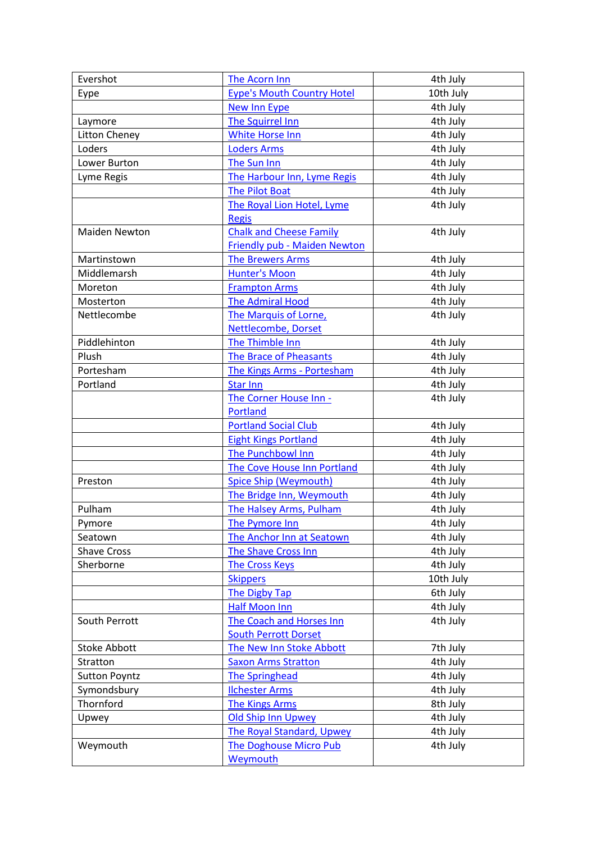| Evershot             | The Acorn Inn                       | 4th July  |
|----------------------|-------------------------------------|-----------|
| Eype                 | <b>Eype's Mouth Country Hotel</b>   | 10th July |
|                      | <b>New Inn Eype</b>                 | 4th July  |
| Laymore              | The Squirrel Inn                    | 4th July  |
| <b>Litton Cheney</b> | White Horse Inn                     | 4th July  |
| Loders               | <b>Loders Arms</b>                  | 4th July  |
| Lower Burton         | The Sun Inn                         | 4th July  |
| Lyme Regis           | The Harbour Inn, Lyme Regis         | 4th July  |
|                      | <b>The Pilot Boat</b>               | 4th July  |
|                      | The Royal Lion Hotel, Lyme          | 4th July  |
|                      | <b>Regis</b>                        |           |
| <b>Maiden Newton</b> | <b>Chalk and Cheese Family</b>      | 4th July  |
|                      | <b>Friendly pub - Maiden Newton</b> |           |
| Martinstown          | <b>The Brewers Arms</b>             | 4th July  |
| Middlemarsh          | <b>Hunter's Moon</b>                | 4th July  |
| Moreton              | <b>Frampton Arms</b>                | 4th July  |
| Mosterton            | <b>The Admiral Hood</b>             | 4th July  |
| Nettlecombe          | The Marquis of Lorne,               | 4th July  |
|                      | Nettlecombe, Dorset                 |           |
| Piddlehinton         | The Thimble Inn                     | 4th July  |
| Plush                | <b>The Brace of Pheasants</b>       | 4th July  |
| Portesham            | The Kings Arms - Portesham          | 4th July  |
| Portland             | <b>Star Inn</b>                     | 4th July  |
|                      | The Corner House Inn -              | 4th July  |
|                      | Portland                            |           |
|                      | <b>Portland Social Club</b>         | 4th July  |
|                      | <b>Eight Kings Portland</b>         | 4th July  |
|                      | The Punchbowl Inn                   | 4th July  |
|                      | The Cove House Inn Portland         | 4th July  |
| Preston              | <b>Spice Ship (Weymouth)</b>        | 4th July  |
|                      | The Bridge Inn, Weymouth            | 4th July  |
| Pulham               | The Halsey Arms, Pulham             | 4th July  |
| Pymore               | <u>The Pymore Inn</u>               | 4th July  |
| Seatown              | The Anchor Inn at Seatown           | 4th July  |
| <b>Shave Cross</b>   | The Shave Cross Inn                 | 4th July  |
| Sherborne            | <b>The Cross Keys</b>               | 4th July  |
|                      | <b>Skippers</b>                     | 10th July |
|                      | <b>The Digby Tap</b>                | 6th July  |
|                      | <b>Half Moon Inn</b>                | 4th July  |
| South Perrott        | The Coach and Horses Inn            | 4th July  |
|                      | <b>South Perrott Dorset</b>         |           |
| <b>Stoke Abbott</b>  | The New Inn Stoke Abbott            | 7th July  |
| Stratton             | <b>Saxon Arms Stratton</b>          | 4th July  |
| <b>Sutton Poyntz</b> | The Springhead                      | 4th July  |
| Symondsbury          | <b>Ilchester Arms</b>               | 4th July  |
| Thornford            | <b>The Kings Arms</b>               | 8th July  |
| Upwey                | Old Ship Inn Upwey                  | 4th July  |
|                      | <b>The Royal Standard, Upwey</b>    | 4th July  |
| Weymouth             | The Doghouse Micro Pub              | 4th July  |
|                      | <b>Weymouth</b>                     |           |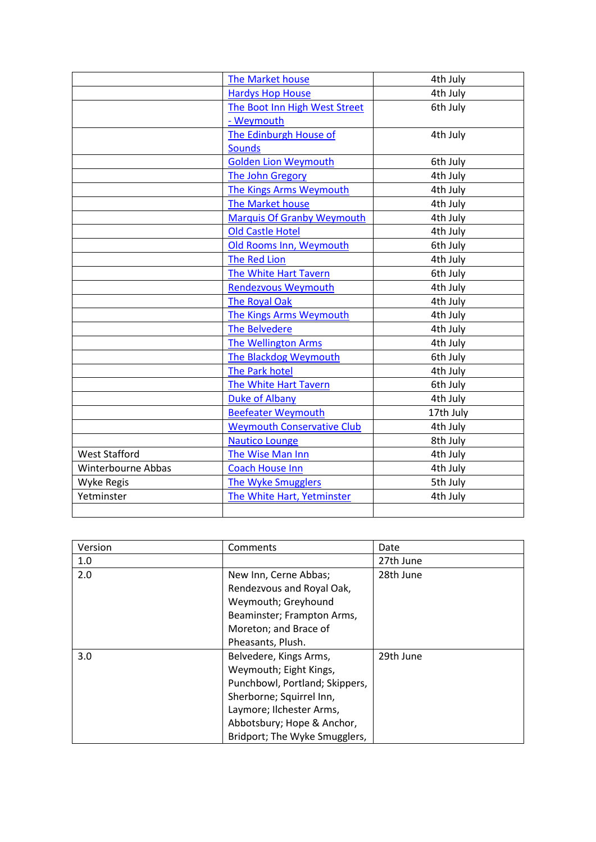|                      | <b>The Market house</b>           | 4th July  |
|----------------------|-----------------------------------|-----------|
|                      | <b>Hardys Hop House</b>           | 4th July  |
|                      | The Boot Inn High West Street     | 6th July  |
|                      | - Weymouth                        |           |
|                      | The Edinburgh House of            | 4th July  |
|                      | <b>Sounds</b>                     |           |
|                      | <b>Golden Lion Weymouth</b>       | 6th July  |
|                      | The John Gregory                  | 4th July  |
|                      | <b>The Kings Arms Weymouth</b>    | 4th July  |
|                      | The Market house                  | 4th July  |
|                      | <b>Marquis Of Granby Weymouth</b> | 4th July  |
|                      | <b>Old Castle Hotel</b>           | 4th July  |
|                      | Old Rooms Inn, Weymouth           | 6th July  |
|                      | <b>The Red Lion</b>               | 4th July  |
|                      | The White Hart Tavern             | 6th July  |
|                      | Rendezvous Weymouth               | 4th July  |
|                      | <b>The Royal Oak</b>              | 4th July  |
|                      | The Kings Arms Weymouth           | 4th July  |
|                      | <b>The Belvedere</b>              | 4th July  |
|                      | <b>The Wellington Arms</b>        | 4th July  |
|                      | The Blackdog Weymouth             | 6th July  |
|                      | <b>The Park hotel</b>             | 4th July  |
|                      | The White Hart Tavern             | 6th July  |
|                      | <b>Duke of Albany</b>             | 4th July  |
|                      | <b>Beefeater Weymouth</b>         | 17th July |
|                      | <b>Weymouth Conservative Club</b> | 4th July  |
|                      | <b>Nautico Lounge</b>             | 8th July  |
| <b>West Stafford</b> | The Wise Man Inn                  | 4th July  |
| Winterbourne Abbas   | <b>Coach House Inn</b>            | 4th July  |
| Wyke Regis           | <b>The Wyke Smugglers</b>         | 5th July  |
| Yetminster           | The White Hart, Yetminster        | 4th July  |
|                      |                                   |           |

| Version | Comments                       | Date      |
|---------|--------------------------------|-----------|
| 1.0     |                                | 27th June |
| 2.0     | New Inn, Cerne Abbas;          | 28th June |
|         | Rendezvous and Royal Oak,      |           |
|         | Weymouth; Greyhound            |           |
|         | Beaminster; Frampton Arms,     |           |
|         | Moreton; and Brace of          |           |
|         | Pheasants, Plush.              |           |
| 3.0     | Belvedere, Kings Arms,         | 29th June |
|         | Weymouth; Eight Kings,         |           |
|         | Punchbowl, Portland; Skippers, |           |
|         | Sherborne; Squirrel Inn,       |           |
|         | Laymore; Ilchester Arms,       |           |
|         | Abbotsbury; Hope & Anchor,     |           |
|         | Bridport; The Wyke Smugglers,  |           |